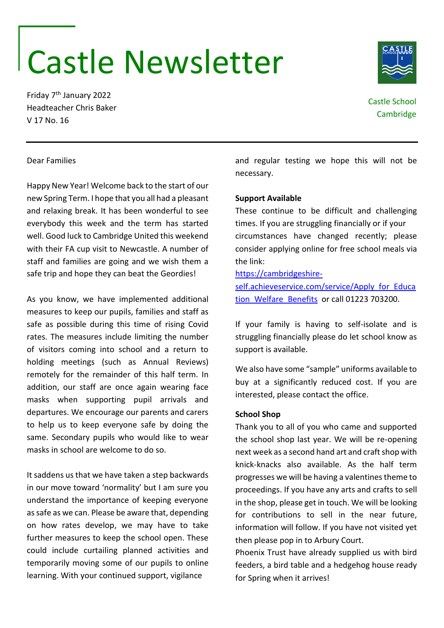# Castle Newsletter

Friday 7th January 2022 Headteacher Chris Baker V 17 No. 16

Castle School **Cambridge** 

# Dear Families

Happy New Year! Welcome back to the start of our new Spring Term. I hope that you all had a pleasant and relaxing break. It has been wonderful to see everybody this week and the term has started well. Good luck to Cambridge United this weekend with their FA cup visit to Newcastle. A number of staff and families are going and we wish them a safe trip and hope they can beat the Geordies!

As you know, we have implemented additional measures to keep our pupils, families and staff as safe as possible during this time of rising Covid rates. The measures include limiting the number of visitors coming into school and a return to holding meetings (such as Annual Reviews) remotely for the remainder of this half term. In addition, our staff are once again wearing face masks when supporting pupil arrivals and departures. We encourage our parents and carers to help us to keep everyone safe by doing the same. Secondary pupils who would like to wear masks in school are welcome to do so.

It saddens us that we have taken a step backwards in our move toward 'normality' but I am sure you understand the importance of keeping everyone as safe as we can. Please be aware that, depending on how rates develop, we may have to take further measures to keep the school open. These could include curtailing planned activities and temporarily moving some of our pupils to online learning. With your continued support, vigilance

and regular testing we hope this will not be necessary.

# **Support Available**

These continue to be difficult and challenging times. If you are struggling financially or if your circumstances have changed recently; please consider applying online for free school meals via the link:

### [https://cambridgeshire-](https://cambridgeshire-self.achieveservice.com/service/Apply_for_Education_Welfare_Benefits)

[self.achieveservice.com/service/Apply\\_for\\_Educa](https://cambridgeshire-self.achieveservice.com/service/Apply_for_Education_Welfare_Benefits) tion Welfare Benefits or call 01223 703200.

If your family is having to self-isolate and is struggling financially please do let school know as support is available.

We also have some "sample" uniforms available to buy at a significantly reduced cost. If you are interested, please contact the office.

# **School Shop**

Thank you to all of you who came and supported the school shop last year. We will be re-opening next week as a second hand art and craft shop with knick-knacks also available. As the half term progresses we will be having a valentines theme to proceedings. If you have any arts and crafts to sell in the shop, please get in touch. We will be looking for contributions to sell in the near future, information will follow. If you have not visited yet then please pop in to Arbury Court.

Phoenix Trust have already supplied us with bird feeders, a bird table and a hedgehog house ready for Spring when it arrives!